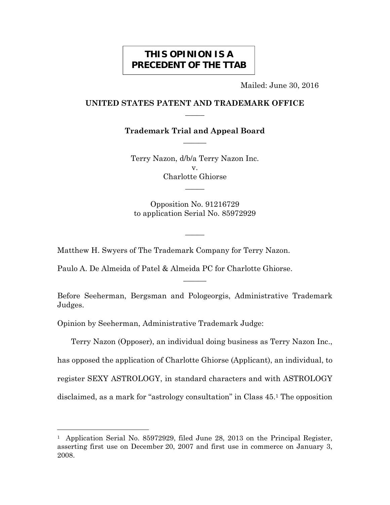# **THIS OPINION IS A PRECEDENT OF THE TTAB**

Mailed: June 30, 2016

# **UNITED STATES PATENT AND TRADEMARK OFFICE**   $\overline{\phantom{a}}$

**Trademark Trial and Appeal Board**   $\overline{\phantom{a}}$ 

Terry Nazon, d/b/a Terry Nazon Inc. v. Charlotte Ghiorse  $\overline{\phantom{a}}$ 

Opposition No. 91216729 to application Serial No. 85972929

 $\overline{\phantom{a}}$ 

Matthew H. Swyers of The Trademark Company for Terry Nazon.

Paulo A. De Almeida of Patel & Almeida PC for Charlotte Ghiorse.

Before Seeherman, Bergsman and Pologeorgis, Administrative Trademark Judges.

 $\overline{\phantom{a}}$ 

Opinion by Seeherman, Administrative Trademark Judge:

i<br>L

Terry Nazon (Opposer), an individual doing business as Terry Nazon Inc., has opposed the application of Charlotte Ghiorse (Applicant), an individual, to register SEXY ASTROLOGY, in standard characters and with ASTROLOGY disclaimed, as a mark for "astrology consultation" in Class 45.1 The opposition

<sup>&</sup>lt;sup>1</sup> Application Serial No. 85972929, filed June 28, 2013 on the Principal Register, asserting first use on December 20, 2007 and first use in commerce on January 3, 2008.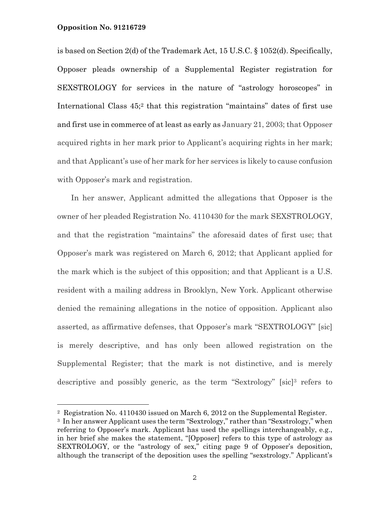i<br>L

is based on Section 2(d) of the Trademark Act, 15 U.S.C. § 1052(d). Specifically, Opposer pleads ownership of a Supplemental Register registration for SEXSTROLOGY for services in the nature of "astrology horoscopes" in International Class  $45$ ;<sup>2</sup> that this registration "maintains" dates of first use and first use in commerce of at least as early as January 21, 2003; that Opposer acquired rights in her mark prior to Applicant's acquiring rights in her mark; and that Applicant's use of her mark for her services is likely to cause confusion with Opposer's mark and registration.

In her answer, Applicant admitted the allegations that Opposer is the owner of her pleaded Registration No. 4110430 for the mark SEXSTROLOGY, and that the registration "maintains" the aforesaid dates of first use; that Opposer's mark was registered on March 6, 2012; that Applicant applied for the mark which is the subject of this opposition; and that Applicant is a U.S. resident with a mailing address in Brooklyn, New York. Applicant otherwise denied the remaining allegations in the notice of opposition. Applicant also asserted, as affirmative defenses, that Opposer's mark "SEXTROLOGY" [sic] is merely descriptive, and has only been allowed registration on the Supplemental Register; that the mark is not distinctive, and is merely descriptive and possibly generic, as the term "Sextrology" [sic]3 refers to

<sup>2</sup> Registration No. 4110430 issued on March 6, 2012 on the Supplemental Register.

<sup>3</sup> In her answer Applicant uses the term "Sextrology," rather than "Sexstrology," when referring to Opposer's mark. Applicant has used the spellings interchangeably, e.g., in her brief she makes the statement, "[Opposer] refers to this type of astrology as SEXTROLOGY, or the "astrology of sex," citing page 9 of Opposer's deposition, although the transcript of the deposition uses the spelling "sexstrology." Applicant's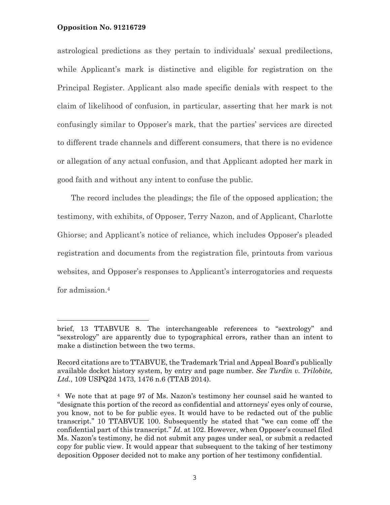astrological predictions as they pertain to individuals' sexual predilections, while Applicant's mark is distinctive and eligible for registration on the Principal Register. Applicant also made specific denials with respect to the claim of likelihood of confusion, in particular, asserting that her mark is not confusingly similar to Opposer's mark, that the parties' services are directed to different trade channels and different consumers, that there is no evidence or allegation of any actual confusion, and that Applicant adopted her mark in good faith and without any intent to confuse the public.

The record includes the pleadings; the file of the opposed application; the testimony, with exhibits, of Opposer, Terry Nazon, and of Applicant, Charlotte Ghiorse; and Applicant's notice of reliance, which includes Opposer's pleaded registration and documents from the registration file, printouts from various websites, and Opposer's responses to Applicant's interrogatories and requests for admission.4

brief, 13 TTABVUE 8. The interchangeable references to "sextrology" and "sexstrology" are apparently due to typographical errors, rather than an intent to make a distinction between the two terms.

Record citations are to TTABVUE, the Trademark Trial and Appeal Board's publically available docket history system, by entry and page number. *See Turdin v. Trilobite, Ltd.*, 109 USPQ2d 1473, 1476 n.6 (TTAB 2014).

<sup>4</sup> We note that at page 97 of Ms. Nazon's testimony her counsel said he wanted to "designate this portion of the record as confidential and attorneys' eyes only of course, you know, not to be for public eyes. It would have to be redacted out of the public transcript." 10 TTABVUE 100. Subsequently he stated that "we can come off the confidential part of this transcript." *Id*. at 102. However, when Opposer's counsel filed Ms. Nazon's testimony, he did not submit any pages under seal, or submit a redacted copy for public view. It would appear that subsequent to the taking of her testimony deposition Opposer decided not to make any portion of her testimony confidential.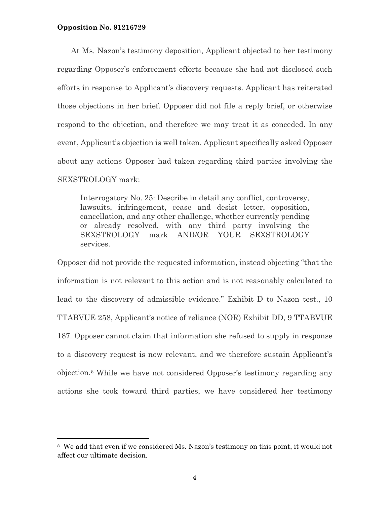At Ms. Nazon's testimony deposition, Applicant objected to her testimony regarding Opposer's enforcement efforts because she had not disclosed such efforts in response to Applicant's discovery requests. Applicant has reiterated those objections in her brief. Opposer did not file a reply brief, or otherwise respond to the objection, and therefore we may treat it as conceded. In any event, Applicant's objection is well taken. Applicant specifically asked Opposer about any actions Opposer had taken regarding third parties involving the SEXSTROLOGY mark:

Interrogatory No. 25: Describe in detail any conflict, controversy, lawsuits, infringement, cease and desist letter, opposition, cancellation, and any other challenge, whether currently pending or already resolved, with any third party involving the SEXSTROLOGY mark AND/OR YOUR SEXSTROLOGY services.

Opposer did not provide the requested information, instead objecting "that the information is not relevant to this action and is not reasonably calculated to lead to the discovery of admissible evidence." Exhibit D to Nazon test., 10 TTABVUE 258, Applicant's notice of reliance (NOR) Exhibit DD, 9 TTABVUE 187. Opposer cannot claim that information she refused to supply in response to a discovery request is now relevant, and we therefore sustain Applicant's objection.5 While we have not considered Opposer's testimony regarding any actions she took toward third parties, we have considered her testimony

<sup>5</sup> We add that even if we considered Ms. Nazon's testimony on this point, it would not affect our ultimate decision.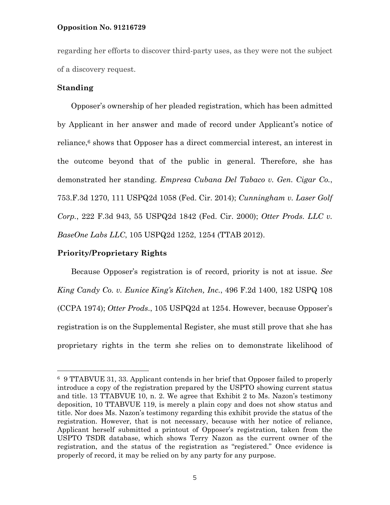regarding her efforts to discover third-party uses, as they were not the subject of a discovery request.

# **Standing**

—<br>—

Opposer's ownership of her pleaded registration, which has been admitted by Applicant in her answer and made of record under Applicant's notice of reliance,6 shows that Opposer has a direct commercial interest, an interest in the outcome beyond that of the public in general. Therefore, she has demonstrated her standing. *Empresa Cubana Del Tabaco v. Gen. Cigar Co.*, 753.F.3d 1270, 111 USPQ2d 1058 (Fed. Cir. 2014); *Cunningham v. Laser Golf Corp.*, 222 F.3d 943, 55 USPQ2d 1842 (Fed. Cir. 2000); *Otter Prods. LLC v. BaseOne Labs LLC*, 105 USPQ2d 1252, 1254 (TTAB 2012).

# **Priority/Proprietary Rights**

Because Opposer's registration is of record, priority is not at issue. *See King Candy Co. v. Eunice King's Kitchen, Inc.*, 496 F.2d 1400, 182 USPQ 108 (CCPA 1974); *Otter Prods*., 105 USPQ2d at 1254. However, because Opposer's registration is on the Supplemental Register, she must still prove that she has proprietary rights in the term she relies on to demonstrate likelihood of

<sup>6 9</sup> TTABVUE 31, 33. Applicant contends in her brief that Opposer failed to properly introduce a copy of the registration prepared by the USPTO showing current status and title. 13 TTABVUE 10, n. 2. We agree that Exhibit 2 to Ms. Nazon's testimony deposition, 10 TTABVUE 119, is merely a plain copy and does not show status and title. Nor does Ms. Nazon's testimony regarding this exhibit provide the status of the registration. However, that is not necessary, because with her notice of reliance, Applicant herself submitted a printout of Opposer's registration, taken from the USPTO TSDR database, which shows Terry Nazon as the current owner of the registration, and the status of the registration as "registered." Once evidence is properly of record, it may be relied on by any party for any purpose.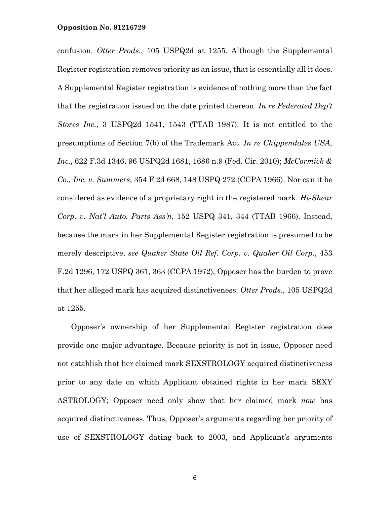confusion. *Otter Prods.*, 105 USPQ2d at 1255. Although the Supplemental Register registration removes priority as an issue, that is essentially all it does. A Supplemental Register registration is evidence of nothing more than the fact that the registration issued on the date printed thereon. *In re Federated Dep't Stores Inc.*, 3 USPQ2d 1541, 1543 (TTAB 1987). It is not entitled to the presumptions of Section 7(b) of the Trademark Act. *In re Chippendales USA, Inc.*, 622 F.3d 1346, 96 USPQ2d 1681, 1686 n.9 (Fed. Cir. 2010); *McCormick & Co., Inc. v. Summers*, 354 F.2d 668, 148 USPQ 272 (CCPA 1966). Nor can it be considered as evidence of a proprietary right in the registered mark. *Hi-Shear Corp. v. Nat'l Auto. Parts Ass'n*, 152 USPQ 341, 344 (TTAB 1966). Instead, because the mark in her Supplemental Register registration is presumed to be merely descriptive, *see Quaker State Oil Ref. Corp. v. Quaker Oil Corp*., 453 F.2d 1296, 172 USPQ 361, 363 (CCPA 1972), Opposer has the burden to prove that her alleged mark has acquired distinctiveness. *Otter Prods.*, 105 USPQ2d at 1255.

Opposer's ownership of her Supplemental Register registration does provide one major advantage. Because priority is not in issue, Opposer need not establish that her claimed mark SEXSTROLOGY acquired distinctiveness prior to any date on which Applicant obtained rights in her mark SEXY ASTROLOGY; Opposer need only show that her claimed mark *now* has acquired distinctiveness. Thus, Opposer's arguments regarding her priority of use of SEXSTROLOGY dating back to 2003, and Applicant's arguments

6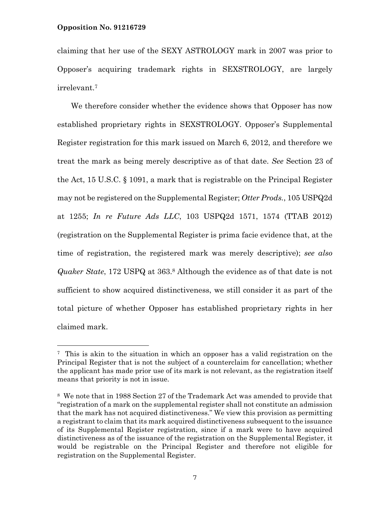÷,

claiming that her use of the SEXY ASTROLOGY mark in 2007 was prior to Opposer's acquiring trademark rights in SEXSTROLOGY, are largely irrelevant.7

We therefore consider whether the evidence shows that Opposer has now established proprietary rights in SEXSTROLOGY. Opposer's Supplemental Register registration for this mark issued on March 6, 2012, and therefore we treat the mark as being merely descriptive as of that date. *See* Section 23 of the Act, 15 U.S.C. § 1091, a mark that is registrable on the Principal Register may not be registered on the Supplemental Register; *Otter Prods.*, 105 USPQ2d at 1255; *In re Future Ads LLC*, 103 USPQ2d 1571, 1574 (TTAB 2012) (registration on the Supplemental Register is prima facie evidence that, at the time of registration, the registered mark was merely descriptive); *see also Quaker State*, 172 USPQ at 363.8 Although the evidence as of that date is not sufficient to show acquired distinctiveness, we still consider it as part of the total picture of whether Opposer has established proprietary rights in her claimed mark.

<sup>7</sup> This is akin to the situation in which an opposer has a valid registration on the Principal Register that is not the subject of a counterclaim for cancellation; whether the applicant has made prior use of its mark is not relevant, as the registration itself means that priority is not in issue.

<sup>8</sup> We note that in 1988 Section 27 of the Trademark Act was amended to provide that "registration of a mark on the supplemental register shall not constitute an admission that the mark has not acquired distinctiveness." We view this provision as permitting a registrant to claim that its mark acquired distinctiveness subsequent to the issuance of its Supplemental Register registration, since if a mark were to have acquired distinctiveness as of the issuance of the registration on the Supplemental Register, it would be registrable on the Principal Register and therefore not eligible for registration on the Supplemental Register.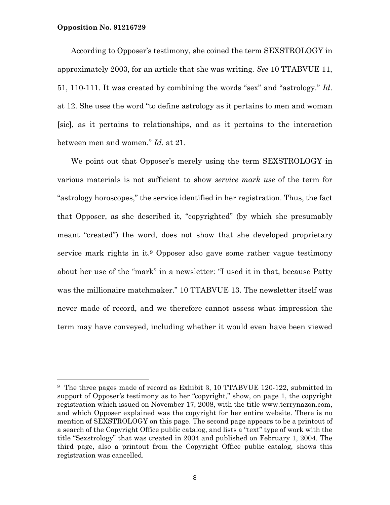According to Opposer's testimony, she coined the term SEXSTROLOGY in approximately 2003, for an article that she was writing. *See* 10 TTABVUE 11, 51, 110-111. It was created by combining the words "sex" and "astrology." *Id*. at 12. She uses the word "to define astrology as it pertains to men and woman [sic], as it pertains to relationships, and as it pertains to the interaction between men and women." *Id*. at 21.

We point out that Opposer's merely using the term SEXSTROLOGY in various materials is not sufficient to show *service mark use* of the term for "astrology horoscopes," the service identified in her registration. Thus, the fact that Opposer, as she described it, "copyrighted" (by which she presumably meant "created") the word, does not show that she developed proprietary service mark rights in it.9 Opposer also gave some rather vague testimony about her use of the "mark" in a newsletter: "I used it in that, because Patty was the millionaire matchmaker." 10 TTABVUE 13. The newsletter itself was never made of record, and we therefore cannot assess what impression the term may have conveyed, including whether it would even have been viewed

<sup>9</sup> The three pages made of record as Exhibit 3, 10 TTABVUE 120-122, submitted in support of Opposer's testimony as to her "copyright," show, on page 1, the copyright registration which issued on November 17, 2008, with the title www.terrynazon.com, and which Opposer explained was the copyright for her entire website. There is no mention of SEXSTROLOGY on this page. The second page appears to be a printout of a search of the Copyright Office public catalog, and lists a "text" type of work with the title "Sexstrology" that was created in 2004 and published on February 1, 2004. The third page, also a printout from the Copyright Office public catalog, shows this registration was cancelled.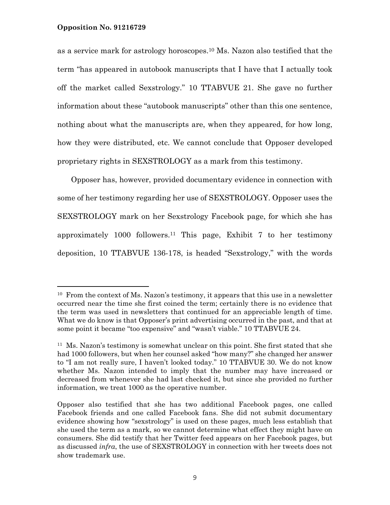as a service mark for astrology horoscopes.10 Ms. Nazon also testified that the term "has appeared in autobook manuscripts that I have that I actually took off the market called Sexstrology." 10 TTABVUE 21. She gave no further information about these "autobook manuscripts" other than this one sentence, nothing about what the manuscripts are, when they appeared, for how long, how they were distributed, etc. We cannot conclude that Opposer developed proprietary rights in SEXSTROLOGY as a mark from this testimony.

Opposer has, however, provided documentary evidence in connection with some of her testimony regarding her use of SEXSTROLOGY. Opposer uses the SEXSTROLOGY mark on her Sexstrology Facebook page, for which she has approximately 1000 followers.11 This page, Exhibit 7 to her testimony deposition, 10 TTABVUE 136-178, is headed "Sexstrology," with the words

 $10$  From the context of Ms. Nazon's testimony, it appears that this use in a newsletter occurred near the time she first coined the term; certainly there is no evidence that the term was used in newsletters that continued for an appreciable length of time. What we do know is that Opposer's print advertising occurred in the past, and that at some point it became "too expensive" and "wasn't viable." 10 TTABVUE 24.

<sup>11</sup> Ms. Nazon's testimony is somewhat unclear on this point. She first stated that she had 1000 followers, but when her counsel asked "how many?" she changed her answer to "I am not really sure, I haven't looked today." 10 TTABVUE 30. We do not know whether Ms. Nazon intended to imply that the number may have increased or decreased from whenever she had last checked it, but since she provided no further information, we treat 1000 as the operative number.

Opposer also testified that she has two additional Facebook pages, one called Facebook friends and one called Facebook fans. She did not submit documentary evidence showing how "sexstrology" is used on these pages, much less establish that she used the term as a mark, so we cannot determine what effect they might have on consumers. She did testify that her Twitter feed appears on her Facebook pages, but as discussed *infra*, the use of SEXSTROLOGY in connection with her tweets does not show trademark use.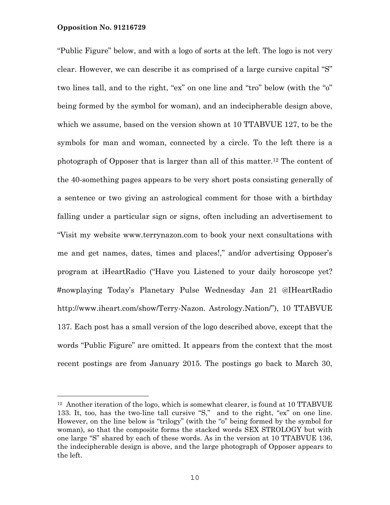i<br>L

"Public Figure" below, and with a logo of sorts at the left. The logo is not very clear. However, we can describe it as comprised of a large cursive capital "S" two lines tall, and to the right, "ex" on one line and "tro" below (with the "o" being formed by the symbol for woman), and an indecipherable design above, which we assume, based on the version shown at 10 TTABVUE 127, to be the symbols for man and woman, connected by a circle. To the left there is a photograph of Opposer that is larger than all of this matter.12 The content of the 40-something pages appears to be very short posts consisting generally of a sentence or two giving an astrological comment for those with a birthday falling under a particular sign or signs, often including an advertisement to "Visit my website www.terrynazon.com to book your next consultations with me and get names, dates, times and places!," and/or advertising Opposer's program at iHeartRadio ("Have you Listened to your daily horoscope yet? #nowplaying Today's Planetary Pulse Wednesday Jan 21 @IHeartRadio http://www.iheart.com/show/Terry-Nazon. Astrology.Nation/"), 10 TTABVUE 137*.* Each post has a small version of the logo described above, except that the words "Public Figure" are omitted. It appears from the context that the most recent postings are from January 2015. The postings go back to March 30,

 $12$  Another iteration of the logo, which is somewhat clearer, is found at 10 TTABVUE 133. It, too, has the two-line tall cursive "S," and to the right, "ex" on one line. However, on the line below is "trilogy" (with the "o" being formed by the symbol for woman), so that the composite forms the stacked words SEX STROLOGY but with one large "S" shared by each of these words. As in the version at 10 TTABVUE 136, the indecipherable design is above, and the large photograph of Opposer appears to the left.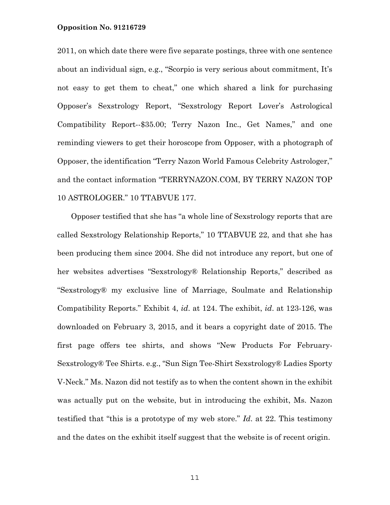2011, on which date there were five separate postings, three with one sentence about an individual sign, e.g., "Scorpio is very serious about commitment, It's not easy to get them to cheat," one which shared a link for purchasing Opposer's Sexstrology Report, "Sexstrology Report Lover's Astrological Compatibility Report--\$35.00; Terry Nazon Inc., Get Names," and one reminding viewers to get their horoscope from Opposer, with a photograph of Opposer, the identification "Terry Nazon World Famous Celebrity Astrologer," and the contact information "TERRYNAZON.COM, BY TERRY NAZON TOP 10 ASTROLOGER." 10 TTABVUE 177.

Opposer testified that she has "a whole line of Sexstrology reports that are called Sexstrology Relationship Reports," 10 TTABVUE 22, and that she has been producing them since 2004. She did not introduce any report, but one of her websites advertises "Sexstrology® Relationship Reports," described as "Sexstrology® my exclusive line of Marriage, Soulmate and Relationship Compatibility Reports." Exhibit 4, *id*. at 124. The exhibit, *id*. at 123-126, was downloaded on February 3, 2015, and it bears a copyright date of 2015. The first page offers tee shirts, and shows "New Products For February-Sexstrology® Tee Shirts. e.g., "Sun Sign Tee-Shirt Sexstrology® Ladies Sporty V-Neck." Ms. Nazon did not testify as to when the content shown in the exhibit was actually put on the website, but in introducing the exhibit, Ms. Nazon testified that "this is a prototype of my web store." *Id*. at 22. This testimony and the dates on the exhibit itself suggest that the website is of recent origin.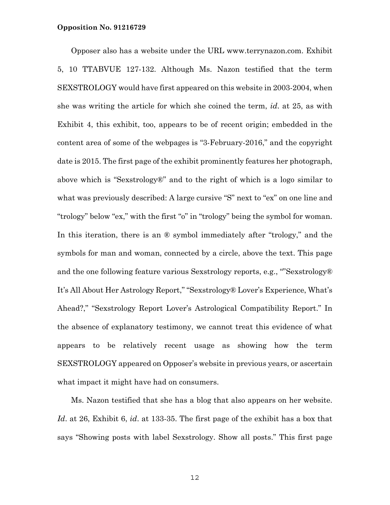Opposer also has a website under the URL www.terrynazon.com. Exhibit 5, 10 TTABVUE 127-132. Although Ms. Nazon testified that the term SEXSTROLOGY would have first appeared on this website in 2003-2004, when she was writing the article for which she coined the term, *id*. at 25, as with Exhibit 4, this exhibit, too, appears to be of recent origin; embedded in the content area of some of the webpages is "3-February-2016," and the copyright date is 2015. The first page of the exhibit prominently features her photograph, above which is "Sexstrology®" and to the right of which is a logo similar to what was previously described: A large cursive "S" next to "ex" on one line and "trology" below "ex," with the first "o" in "trology" being the symbol for woman. In this iteration, there is an  $\mathbb{R}$  symbol immediately after "trology," and the symbols for man and woman, connected by a circle, above the text. This page and the one following feature various Sexstrology reports, e.g., ""Sexstrology® It's All About Her Astrology Report," "Sexstrology® Lover's Experience, What's Ahead?," "Sexstrology Report Lover's Astrological Compatibility Report." In the absence of explanatory testimony, we cannot treat this evidence of what appears to be relatively recent usage as showing how the term SEXSTROLOGY appeared on Opposer's website in previous years, or ascertain what impact it might have had on consumers.

Ms. Nazon testified that she has a blog that also appears on her website. *Id*. at 26, Exhibit 6, *id*. at 133-35. The first page of the exhibit has a box that says "Showing posts with label Sexstrology. Show all posts." This first page

12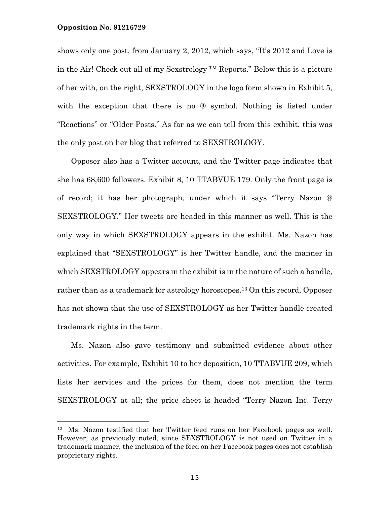i<br>L

shows only one post, from January 2, 2012, which says, "It's 2012 and Love is in the Air! Check out all of my Sexstrology ™ Reports." Below this is a picture of her with, on the right, SEXSTROLOGY in the logo form shown in Exhibit 5, with the exception that there is no  $\mathbb{R}$  symbol. Nothing is listed under "Reactions" or "Older Posts." As far as we can tell from this exhibit, this was the only post on her blog that referred to SEXSTROLOGY.

Opposer also has a Twitter account, and the Twitter page indicates that she has 68,600 followers. Exhibit 8, 10 TTABVUE 179. Only the front page is of record; it has her photograph, under which it says "Terry Nazon @ SEXSTROLOGY." Her tweets are headed in this manner as well. This is the only way in which SEXSTROLOGY appears in the exhibit. Ms. Nazon has explained that "SEXSTROLOGY" is her Twitter handle, and the manner in which SEXSTROLOGY appears in the exhibit is in the nature of such a handle, rather than as a trademark for astrology horoscopes.13 On this record, Opposer has not shown that the use of SEXSTROLOGY as her Twitter handle created trademark rights in the term.

Ms. Nazon also gave testimony and submitted evidence about other activities. For example, Exhibit 10 to her deposition, 10 TTABVUE 209, which lists her services and the prices for them, does not mention the term SEXSTROLOGY at all; the price sheet is headed "Terry Nazon Inc. Terry

<sup>13</sup> Ms. Nazon testified that her Twitter feed runs on her Facebook pages as well. However, as previously noted, since SEXSTROLOGY is not used on Twitter in a trademark manner, the inclusion of the feed on her Facebook pages does not establish proprietary rights.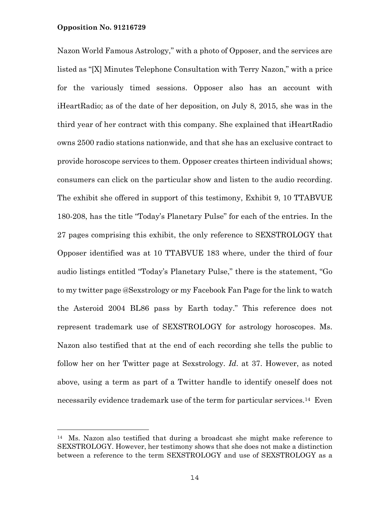i<br>L

Nazon World Famous Astrology," with a photo of Opposer, and the services are listed as "[X] Minutes Telephone Consultation with Terry Nazon," with a price for the variously timed sessions. Opposer also has an account with iHeartRadio; as of the date of her deposition, on July 8, 2015, she was in the third year of her contract with this company. She explained that iHeartRadio owns 2500 radio stations nationwide, and that she has an exclusive contract to provide horoscope services to them. Opposer creates thirteen individual shows; consumers can click on the particular show and listen to the audio recording. The exhibit she offered in support of this testimony, Exhibit 9, 10 TTABVUE 180-208, has the title "Today's Planetary Pulse" for each of the entries. In the 27 pages comprising this exhibit, the only reference to SEXSTROLOGY that Opposer identified was at 10 TTABVUE 183 where, under the third of four audio listings entitled "Today's Planetary Pulse," there is the statement, "Go to my twitter page @Sexstrology or my Facebook Fan Page for the link to watch the Asteroid 2004 BL86 pass by Earth today." This reference does not represent trademark use of SEXSTROLOGY for astrology horoscopes. Ms. Nazon also testified that at the end of each recording she tells the public to follow her on her Twitter page at Sexstrology. *Id*. at 37. However, as noted above, using a term as part of a Twitter handle to identify oneself does not necessarily evidence trademark use of the term for particular services.14 Even

<sup>14</sup> Ms. Nazon also testified that during a broadcast she might make reference to SEXSTROLOGY. However, her testimony shows that she does not make a distinction between a reference to the term SEXSTROLOGY and use of SEXSTROLOGY as a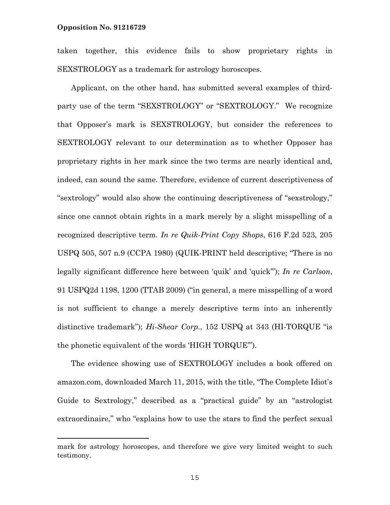taken together, this evidence fails to show proprietary rights in SEXSTROLOGY as a trademark for astrology horoscopes.

Applicant, on the other hand, has submitted several examples of thirdparty use of the term "SEXSTROLOGY" or "SEXTROLOGY." We recognize that Opposer's mark is SEXSTROLOGY, but consider the references to SEXTROLOGY relevant to our determination as to whether Opposer has proprietary rights in her mark since the two terms are nearly identical and, indeed, can sound the same. Therefore, evidence of current descriptiveness of "sextrology" would also show the continuing descriptiveness of "sexstrology," since one cannot obtain rights in a mark merely by a slight misspelling of a recognized descriptive term. *In re Quik-Print Copy Shops*, 616 F.2d 523, 205 USPQ 505, 507 n.9 (CCPA 1980) (QUIK-PRINT held descriptive; "There is no legally significant difference here between 'quik' and 'quick'"); *In re Carlson*, 91 USPQ2d 1198, 1200 (TTAB 2009) ("in general, a mere misspelling of a word is not sufficient to change a merely descriptive term into an inherently distinctive trademark"); *Hi-Shear Corp.*, 152 USPQ at 343 (HI-TORQUE "is the phonetic equivalent of the words 'HIGH TORQUE'").

The evidence showing use of SEXTROLOGY includes a book offered on amazon.com, downloaded March 11, 2015, with the title, "The Complete Idiot's Guide to Sextrology," described as a "practical guide" by an "astrologist extraordinaire," who "explains how to use the stars to find the perfect sexual

mark for astrology horoscopes, and therefore we give very limited weight to such testimony.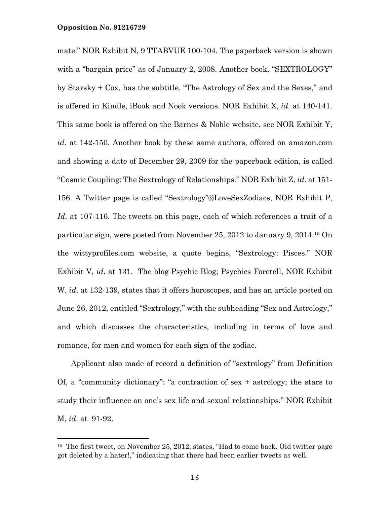mate." NOR Exhibit N, 9 TTABVUE 100-104. The paperback version is shown with a "bargain price" as of January 2, 2008. Another book, "SEXTROLOGY" by Starsky + Cox, has the subtitle, "The Astrology of Sex and the Sexes," and is offered in Kindle, iBook and Nook versions. NOR Exhibit X, *id*. at 140-141. This same book is offered on the Barnes & Noble website, see NOR Exhibit Y, *id*. at 142-150. Another book by these same authors, offered on amazon.com and showing a date of December 29, 2009 for the paperback edition, is called "Cosmic Coupling: The Sextrology of Relationships." NOR Exhibit Z, *id*. at 151- 156. A Twitter page is called "Sextrology"@LoveSexZodiacs, NOR Exhibit P, *Id*. at 107-116. The tweets on this page, each of which references a trait of a particular sign, were posted from November 25, 2012 to January 9, 2014.15 On the wittyprofiles.com website, a quote begins, "Sextrology: Pisces." NOR Exhibit V, *id*. at 131.The blog Psychic Blog; Psychics Foretell, NOR Exhibit W, *id*. at 132-139, states that it offers horoscopes, and has an article posted on June 26, 2012, entitled "Sextrology," with the subheading "Sex and Astrology," and which discusses the characteristics, including in terms of love and romance, for men and women for each sign of the zodiac.

Applicant also made of record a definition of "sextrology" from Definition Of, a "community dictionary": "a contraction of sex + astrology; the stars to study their influence on one's sex life and sexual relationships." NOR Exhibit M, *id*. at 91-92.

<sup>&</sup>lt;sup>15</sup> The first tweet, on November 25, 2012, states, "Had to come back. Old twitter page got deleted by a hater!," indicating that there had been earlier tweets as well.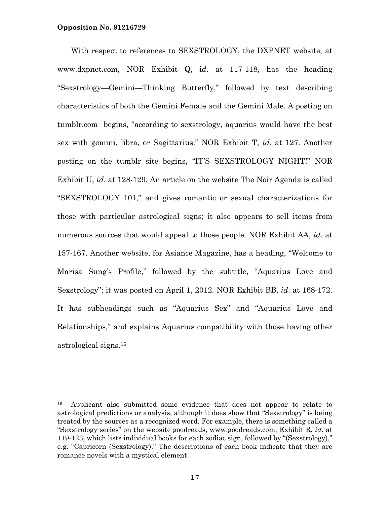—<br>—

With respect to references to SEXSTROLOGY, the DXPNET website, at www.dxpnet.com, NOR Exhibit Q, i*d*. at 117-118, has the heading "Sexstrology—Gemini—Thinking Butterfly," followed by text describing characteristics of both the Gemini Female and the Gemini Male. A posting on tumblr.com begins, "according to sexstrology, aquarius would have the best sex with gemini, libra, or Sagittarius." NOR Exhibit T, *id*. at 127. Another posting on the tumblr site begins, "IT'S SEXSTROLOGY NIGHT!" NOR Exhibit U, *id*. at 128-129. An article on the website The Noir Agenda is called "SEXSTROLOGY 101," and gives romantic or sexual characterizations for those with particular astrological signs; it also appears to sell items from numerous sources that would appeal to those people. NOR Exhibit AA, *id*. at 157-167. Another website, for Asiance Magazine, has a heading, "Welcome to Marisa Sung's Profile," followed by the subtitle, "Aquarius Love and Sexstrology"; it was posted on April 1, 2012. NOR Exhibit BB, *id*. at 168-172. It has subheadings such as "Aquarius Sex" and "Aquarius Love and Relationships," and explains Aquarius compatibility with those having other astrological signs.16

<sup>16</sup> Applicant also submitted some evidence that does not appear to relate to astrological predictions or analysis, although it does show that "Sexstrology" is being treated by the sources as a recognized word. For example, there is something called a "Sexstrology series" on the website goodreads, www.goodreads.com, Exhibit R, *id*. at 119-123, which lists individual books for each zodiac sign, followed by "(Sexstrology)," e.g. "Capricorn (Sexstrology)." The descriptions of each book indicate that they are romance novels with a mystical element.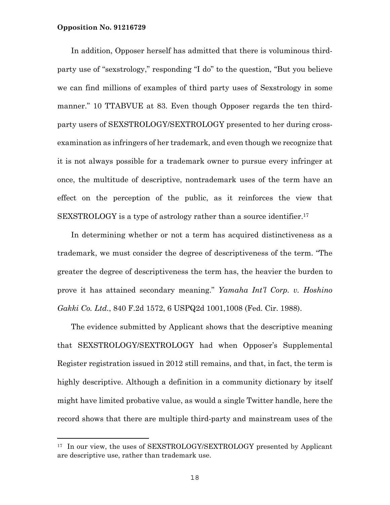In addition, Opposer herself has admitted that there is voluminous thirdparty use of "sexstrology," responding "I do" to the question, "But you believe we can find millions of examples of third party uses of Sexstrology in some manner." 10 TTABVUE at 83. Even though Opposer regards the ten thirdparty users of SEXSTROLOGY/SEXTROLOGY presented to her during crossexamination as infringers of her trademark, and even though we recognize that it is not always possible for a trademark owner to pursue every infringer at once, the multitude of descriptive, nontrademark uses of the term have an effect on the perception of the public, as it reinforces the view that SEXSTROLOGY is a type of astrology rather than a source identifier.<sup>17</sup>

In determining whether or not a term has acquired distinctiveness as a trademark, we must consider the degree of descriptiveness of the term. "The greater the degree of descriptiveness the term has, the heavier the burden to prove it has attained secondary meaning." *Yamaha Int'l Corp. v. Hoshino Gakki Co. Ltd.*, 840 F.2d 1572, 6 USPQ2d 1001,1008 (Fed. Cir. 1988).

The evidence submitted by Applicant shows that the descriptive meaning that SEXSTROLOGY/SEXTROLOGY had when Opposer's Supplemental Register registration issued in 2012 still remains, and that, in fact, the term is highly descriptive. Although a definition in a community dictionary by itself might have limited probative value, as would a single Twitter handle, here the record shows that there are multiple third-party and mainstream uses of the

<sup>&</sup>lt;sup>17</sup> In our view, the uses of SEXSTROLOGY/SEXTROLOGY presented by Applicant are descriptive use, rather than trademark use.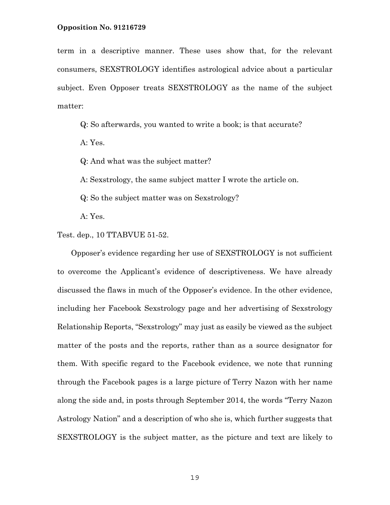term in a descriptive manner. These uses show that, for the relevant consumers, SEXSTROLOGY identifies astrological advice about a particular subject. Even Opposer treats SEXSTROLOGY as the name of the subject matter:

Q: So afterwards, you wanted to write a book; is that accurate?

A: Yes.

Q: And what was the subject matter?

A: Sexstrology, the same subject matter I wrote the article on.

Q: So the subject matter was on Sexstrology?

A: Yes.

Test. dep., 10 TTABVUE 51-52.

Opposer's evidence regarding her use of SEXSTROLOGY is not sufficient to overcome the Applicant's evidence of descriptiveness. We have already discussed the flaws in much of the Opposer's evidence. In the other evidence, including her Facebook Sexstrology page and her advertising of Sexstrology Relationship Reports, "Sexstrology" may just as easily be viewed as the subject matter of the posts and the reports, rather than as a source designator for them. With specific regard to the Facebook evidence, we note that running through the Facebook pages is a large picture of Terry Nazon with her name along the side and, in posts through September 2014, the words "Terry Nazon Astrology Nation" and a description of who she is, which further suggests that SEXSTROLOGY is the subject matter, as the picture and text are likely to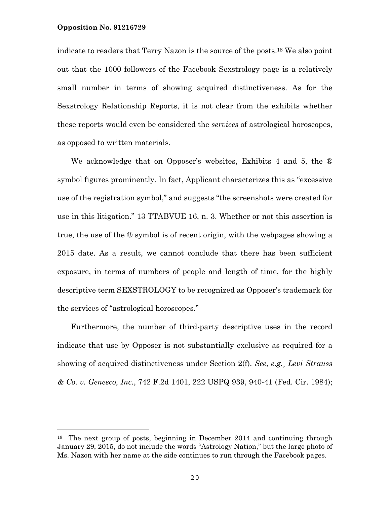—<br>—

indicate to readers that Terry Nazon is the source of the posts.18 We also point out that the 1000 followers of the Facebook Sexstrology page is a relatively small number in terms of showing acquired distinctiveness. As for the Sexstrology Relationship Reports, it is not clear from the exhibits whether these reports would even be considered the *services* of astrological horoscopes, as opposed to written materials.

We acknowledge that on Opposer's websites, Exhibits 4 and 5, the ® symbol figures prominently. In fact, Applicant characterizes this as "excessive use of the registration symbol," and suggests "the screenshots were created for use in this litigation." 13 TTABVUE 16, n. 3. Whether or not this assertion is true, the use of the ® symbol is of recent origin, with the webpages showing a 2015 date. As a result, we cannot conclude that there has been sufficient exposure, in terms of numbers of people and length of time, for the highly descriptive term SEXSTROLOGY to be recognized as Opposer's trademark for the services of "astrological horoscopes."

Furthermore, the number of third-party descriptive uses in the record indicate that use by Opposer is not substantially exclusive as required for a showing of acquired distinctiveness under Section 2(f). *See, e.g.*¸ *Levi Strauss & Co. v. Genesco, Inc.*, 742 F.2d 1401, 222 USPQ 939, 940-41 (Fed. Cir. 1984);

<sup>&</sup>lt;sup>18</sup> The next group of posts, beginning in December 2014 and continuing through January 29, 2015, do not include the words "Astrology Nation," but the large photo of Ms. Nazon with her name at the side continues to run through the Facebook pages.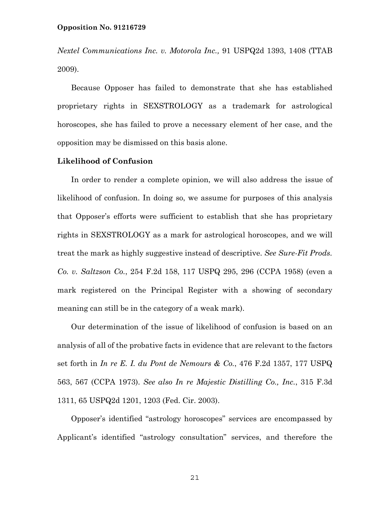*Nextel Communications Inc. v. Motorola Inc.,* 91 USPQ2d 1393, 1408 (TTAB 2009).

Because Opposer has failed to demonstrate that she has established proprietary rights in SEXSTROLOGY as a trademark for astrological horoscopes, she has failed to prove a necessary element of her case, and the opposition may be dismissed on this basis alone.

# **Likelihood of Confusion**

In order to render a complete opinion, we will also address the issue of likelihood of confusion. In doing so, we assume for purposes of this analysis that Opposer's efforts were sufficient to establish that she has proprietary rights in SEXSTROLOGY as a mark for astrological horoscopes, and we will treat the mark as highly suggestive instead of descriptive. *See Sure-Fit Prods. Co. v. Saltzson Co.*, 254 F.2d 158, 117 USPQ 295, 296 (CCPA 1958) (even a mark registered on the Principal Register with a showing of secondary meaning can still be in the category of a weak mark).

Our determination of the issue of likelihood of confusion is based on an analysis of all of the probative facts in evidence that are relevant to the factors set forth in *In re E. I. du Pont de Nemours & Co.*, 476 F.2d 1357, 177 USPQ 563, 567 (CCPA 1973). *See also In re Majestic Distilling Co., Inc.*, 315 F.3d 1311, 65 USPQ2d 1201, 1203 (Fed. Cir. 2003).

Opposer's identified "astrology horoscopes" services are encompassed by Applicant's identified "astrology consultation" services, and therefore the

21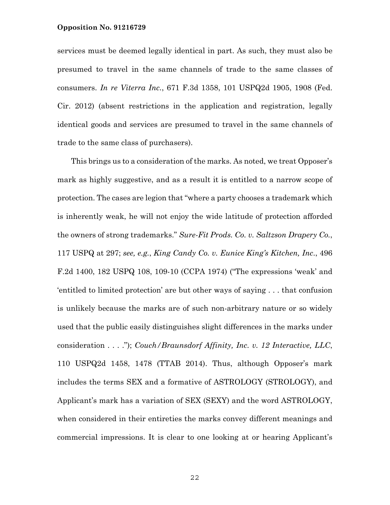services must be deemed legally identical in part. As such, they must also be presumed to travel in the same channels of trade to the same classes of consumers. *In re Viterra Inc.*, 671 F.3d 1358, 101 USPQ2d 1905, 1908 (Fed. Cir. 2012) (absent restrictions in the application and registration, legally identical goods and services are presumed to travel in the same channels of trade to the same class of purchasers).

This brings us to a consideration of the marks. As noted, we treat Opposer's mark as highly suggestive, and as a result it is entitled to a narrow scope of protection. The cases are legion that "where a party chooses a trademark which is inherently weak, he will not enjoy the wide latitude of protection afforded the owners of strong trademarks." *Sure-Fit Prods. Co. v. Saltzson Drapery Co.*, 117 USPQ at 297; *see, e.g.*, *King Candy Co. v. Eunice King's Kitchen, Inc*., 496 F.2d 1400, 182 USPQ 108, 109-10 (CCPA 1974) ("The expressions 'weak' and 'entitled to limited protection' are but other ways of saying . . . that confusion is unlikely because the marks are of such non-arbitrary nature or so widely used that the public easily distinguishes slight differences in the marks under consideration . . . ."); *Couch/Braunsdorf Affinity, Inc. v. 12 Interactive, LLC*, 110 USPQ2d 1458, 1478 (TTAB 2014). Thus, although Opposer's mark includes the terms SEX and a formative of ASTROLOGY (STROLOGY), and Applicant's mark has a variation of SEX (SEXY) and the word ASTROLOGY, when considered in their entireties the marks convey different meanings and commercial impressions. It is clear to one looking at or hearing Applicant's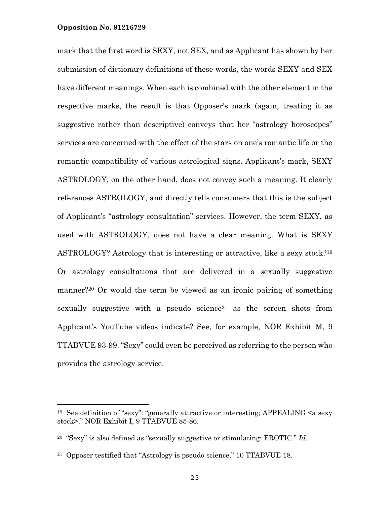i<br>L

mark that the first word is SEXY, not SEX, and as Applicant has shown by her submission of dictionary definitions of these words, the words SEXY and SEX have different meanings. When each is combined with the other element in the respective marks, the result is that Opposer's mark (again, treating it as suggestive rather than descriptive) conveys that her "astrology horoscopes" services are concerned with the effect of the stars on one's romantic life or the romantic compatibility of various astrological signs. Applicant's mark, SEXY ASTROLOGY, on the other hand, does not convey such a meaning. It clearly references ASTROLOGY, and directly tells consumers that this is the subject of Applicant's "astrology consultation" services. However, the term SEXY, as used with ASTROLOGY, does not have a clear meaning. What is SEXY ASTROLOGY? Astrology that is interesting or attractive, like a sexy stock?19 Or astrology consultations that are delivered in a sexually suggestive manner?20 Or would the term be viewed as an ironic pairing of something sexually suggestive with a pseudo science<sup>21</sup> as the screen shots from Applicant's YouTube videos indicate? See, for example, NOR Exhibit M, 9 TTABVUE 93-99. "Sexy" could even be perceived as referring to the person who provides the astrology service.

<sup>19</sup> See definition of "sexy": "generally attractive or interesting; APPEALING <a sexy stock>." NOR Exhibit I, 9 TTABVUE 85-86.

<sup>20 &</sup>quot;Sexy" is also defined as "sexually suggestive or stimulating: EROTIC." *Id*.

<sup>21</sup> Opposer testified that "Astrology is pseudo science." 10 TTABVUE 18.